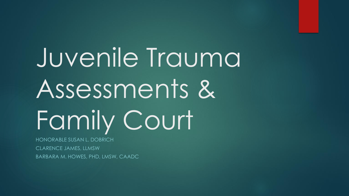# Juvenile Trauma Assessments & Family Court

HONORABLE SUSAN L. DOBRICH CLARENCE JAMES, LLMSW BARBARA M. HOWES, PHD, LMSW, CAADC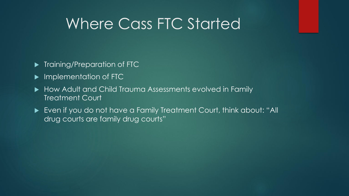# Where Cass FTC Started

- **Training/Preparation of FTC**
- **Implementation of FTC**
- $\blacktriangleright$  How Adult and Child Trauma Assessments evolved in Family Treatment Court
- Even if you do not have a Family Treatment Court, think about: "All drug courts are family drug courts"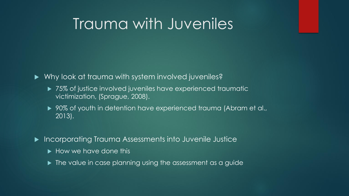# Trauma with Juveniles

Why look at trauma with system involved juveniles?

- ▶ 75% of justice involved juveniles have experienced traumatic victimization, (Sprague, 2008).
- ▶ 90% of youth in detention have experienced trauma (Abram et al.,  $\overline{2013}$ .
- Incorporating Trauma Assessments into Juvenile Justice
	- $\blacktriangleright$  How we have done this
	- $\blacktriangleright$  The value in case planning using the assessment as a guide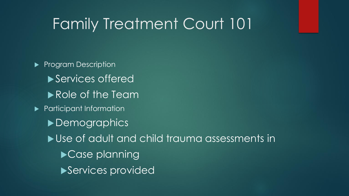# Family Treatment Court 101

Program Description ▶ Services offered Role of the Team **Participant Information** ▶ Demographics ▶ Use of adult and child trauma assessments in ▶ Case planning ▶Services provided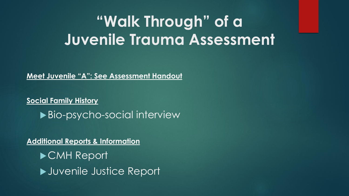# **"Walk Through" of a Juvenile Trauma Assessment**

**Meet Juvenile "A": See Assessment Handout**

**Social Family History** ▶ Bio-psycho-social interview

**Additional Reports & Information CMH Report** Juvenile Justice Report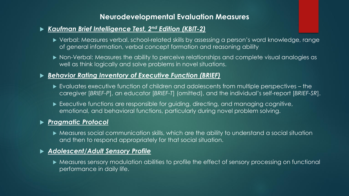### **Neurodevelopmental Evaluation Measures**

### *Kaufman Brief Intelligence Test, 2nd Edition (KBIT-2)*

- Verbal: Measures verbal, school-related skills by assessing a person's word knowledge, range of general information, verbal concept formation and reasoning ability
- Non-Verbal: Measures the ability to perceive relationships and complete visual analogies as well as think logically and solve problems in novel situations.

### *Behavior Rating Inventory of Executive Function (BRIEF)*

- Evaluates executive function of children and adolescents from multiple perspectives the caregiver [*BRIEF-P*], an educator [*BRIEF-T*] (omitted), and the individual's self-report [*BRIEF-SR*].
- Executive functions are responsible for guiding, directing, and managing cognitive, emotional, and behavioral functions, particularly during novel problem solving.

#### *Pragmatic Protocol*

 Measures social communication skills, which are the ability to understand a social situation and then to respond appropriately for that social situation.

#### *Adolescent/Adult Sensory Profile*

 Measures sensory modulation abilities to profile the effect of sensory processing on functional performance in daily life.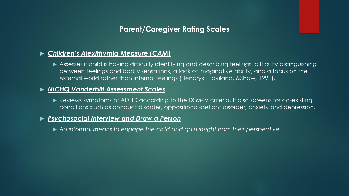## **Parent/Caregiver Rating Scales**

### *Children's Alexithymia Measure* **(***CAM***)**

 Assesses if child is having difficulty identifying and describing feelings, difficulty distinguishing between feelings and bodily sensations, a lack of imaginative ability, and a focus on the external world rather than internal feelings (Hendryx, Haviland, &Shaw, 1991).

#### *NICHQ Vanderbilt Assessment Scales*

 Reviews symptoms of ADHD according to the DSM-IV criteria. It also screens for co-existing conditions such as conduct disorder, oppositional-defiant disorder, anxiety and depression.

#### *Psychosocial Interview and Draw a Person*

*An informal means to engage the child and gain insight from their perspective.*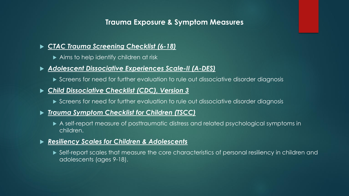## **Trauma Exposure & Symptom Measures**

### *CTAC Trauma Screening Checklist (6-18)*

▶ Aims to help identify children at risk

### *Adolescent Dissociative Experiences Scale-II (A-DES)*

Screens for need for further evaluation to rule out dissociative disorder diagnosis

#### *Child Dissociative Checklist (CDC), Version 3*

Screens for need for further evaluation to rule out dissociative disorder diagnosis

#### *Trauma Symptom Checklist for Children (TSCC)*

 A self-report measure of posttraumatic distress and related psychological symptoms in children.

#### *Resiliency Scales for Children & Adolescents*

 Self-report scales that measure the core characteristics of personal resiliency in children and adolescents (ages 9-18).